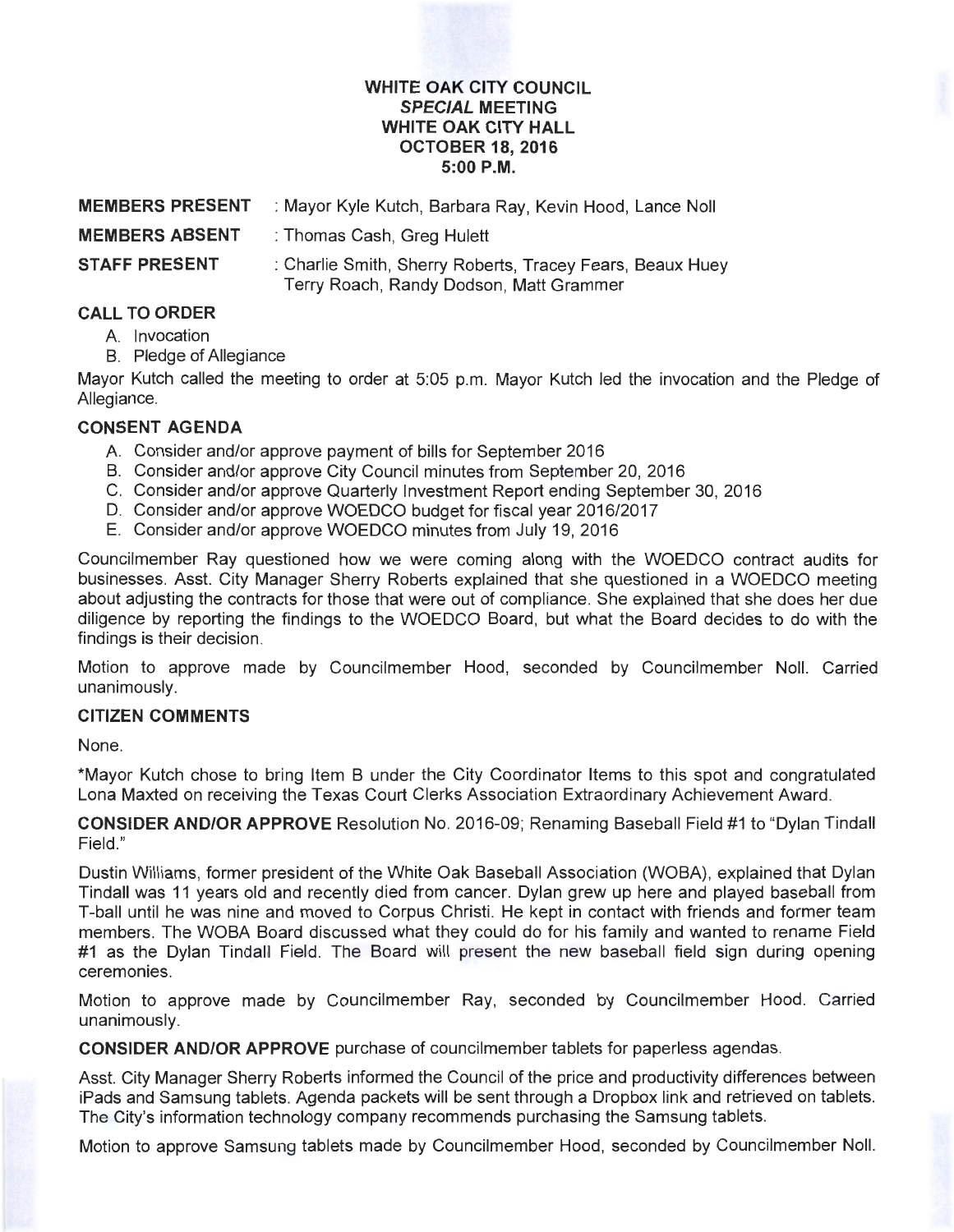#### **WHITE OAK CITY COUNCIL SPECIAL MEETING WHITE OAK CITY HALL OCTOBER 18, 2016 5:00P.M.**

| <b>MEMBERS PRESENT</b> | : Mayor Kyle Kutch, Barbara Ray, Kevin Hood, Lance Noll                                              |
|------------------------|------------------------------------------------------------------------------------------------------|
| <b>MEMBERS ABSENT</b>  | : Thomas Cash, Greg Hulett                                                                           |
| <b>STAFF PRESENT</b>   | : Charlie Smith, Sherry Roberts, Tracey Fears, Beaux Huey<br>Terry Roach, Randy Dodson, Matt Grammer |

# **CALL TO ORDER**

- A. Invocation
- B. Pledge of Allegiance

Mayor Kutch called the meeting to order at 5:05 p.m. Mayor Kutch led the invocation and the Pledge of Allegiance.

### **CONSENT AGENDA**

- A. Consider and/or approve payment of bills for September 2016
- B. Consider and/or approve City Council minutes from September 20, 2016
- C. Consider and/or approve Quarterly Investment Report ending September 30, 2016
- D. Consider and/or approve WOEDCO budget for fiscal year 2016/2017
- E. Consider and/or approve WOEDCO minutes from July 19, 2016

Councilmember Ray questioned how we were coming along with the WOEDCO contract audits for businesses. Asst. City Manager Sherry Roberts explained that she questioned in a WOEDCO meeting about adjusting the contracts for those that were out of compliance. She explained that she does her due diligence by reporting the findings to the WOEDCO Board, but what the Board decides to do with the findings is their decision.

Motion to approve made by Councilmember Hood, seconded by Councilmember Noll. Carried unanimously.

## **CITIZEN COMMENTS**

None.

\*Mayor Kutch chose to bring Item B under the City Coordinator Items to this spot and congratulated Lona Maxted on receiving the Texas Court Clerks Association Extraordinary Achievement Award.

**CONSIDER AND/OR APPROVE** Resolution No. 2016-09; Renaming Baseball Field #1 to "Dylan Tindall Field. "

Dustin Williams, former president of the White Oak Baseball Association (WOBA), explained that Dylan Tindall was 11 years old and recently died from cancer. Dylan grew up here and played baseball from T-ball until he was nine and moved to Corpus Christi. He kept in contact with friends and former team members. The WOBA Board discussed what they could do for his family and wanted to rename Field #1 as the Dylan Tindall Field. The Board will present the new baseball field sign during opening ceremonies.

Motion to approve made by Councilmember Ray, seconded by Councilmember Hood. Carried unanimously.

**CONSIDER AND/OR APPROVE** purchase of councilmember tablets for paperless agendas.

Asst. City Manager Sherry Roberts informed the Council of the price and productivity differences between iPads and Samsung tablets. Agenda packets will be sent through a Dropbox link and retrieved on tablets. The City's information technology company recommends purchasing the Samsung tablets.

Motion to approve Samsung tablets made by Councilmember Hood, seconded by Councilmember Noll.